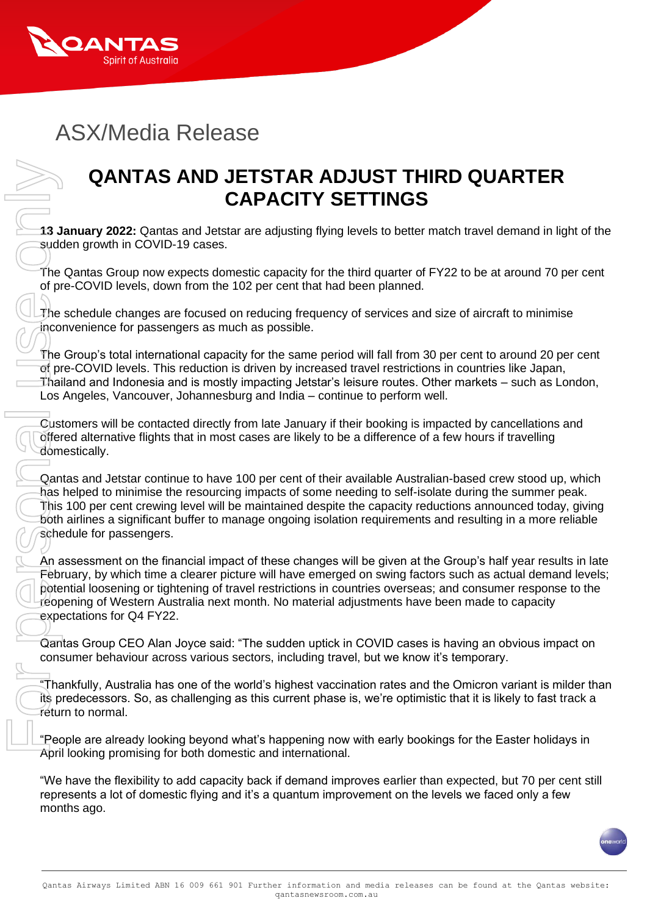

## ASX/Media Release

## **QANTAS AND JETSTAR ADJUST THIRD QUARTER CAPACITY SETTINGS**

**13 January 2022:** Qantas and Jetstar are adjusting flying levels to better match travel demand in light of the sudden growth in COVID-19 cases.

The Qantas Group now expects domestic capacity for the third quarter of FY22 to be at around 70 per cent of pre-COVID levels, down from the 102 per cent that had been planned.

The schedule changes are focused on reducing frequency of services and size of aircraft to minimise inconvenience for passengers as much as possible.

The Group's total international capacity for the same period will fall from 30 per cent to around 20 per cent of pre-COVID levels. This reduction is driven by increased travel restrictions in countries like Japan, Thailand and Indonesia and is mostly impacting Jetstar's leisure routes. Other markets – such as London, Los Angeles, Vancouver, Johannesburg and India – continue to perform well.

Customers will be contacted directly from late January if their booking is impacted by cancellations and offered alternative flights that in most cases are likely to be a difference of a few hours if travelling domestically.

Qantas and Jetstar continue to have 100 per cent of their available Australian-based crew stood up, which has helped to minimise the resourcing impacts of some needing to self-isolate during the summer peak. This 100 per cent crewing level will be maintained despite the capacity reductions announced today, giving both airlines a significant buffer to manage ongoing isolation requirements and resulting in a more reliable schedule for passengers.

An assessment on the financial impact of these changes will be given at the Group's half year results in late February, by which time a clearer picture will have emerged on swing factors such as actual demand levels; potential loosening or tightening of travel restrictions in countries overseas; and consumer response to the reopening of Western Australia next month. No material adjustments have been made to capacity expectations for Q4 FY22.

Qantas Group CEO Alan Joyce said: "The sudden uptick in COVID cases is having an obvious impact on consumer behaviour across various sectors, including travel, but we know it's temporary.

"Thankfully, Australia has one of the world's highest vaccination rates and the Omicron variant is milder than its predecessors. So, as challenging as this current phase is, we're optimistic that it is likely to fast track a return to normal.

"People are already looking beyond what's happening now with early bookings for the Easter holidays in April looking promising for both domestic and international.

"We have the flexibility to add capacity back if demand improves earlier than expected, but 70 per cent still represents a lot of domestic flying and it's a quantum improvement on the levels we faced only a few months ago.